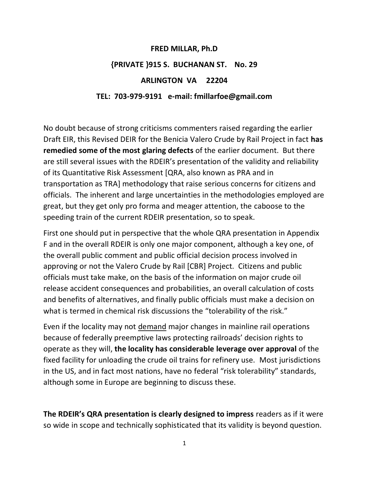# **FRED MILLAR, Ph.D {PRIVATE }915 S. BUCHANAN ST. No. 29 ARLINGTON VA 22204 TEL: 703-979-9191 e-mail: fmillarfoe@gmail.com**

No doubt because of strong criticisms commenters raised regarding the earlier Draft EIR, this Revised DEIR for the Benicia Valero Crude by Rail Project in fact **has remedied some of the most glaring defects** of the earlier document. But there are still several issues with the RDEIR's presentation of the validity and reliability of its Quantitative Risk Assessment [QRA, also known as PRA and in transportation as TRA] methodology that raise serious concerns for citizens and officials. The inherent and large uncertainties in the methodologies employed are great, but they get only pro forma and meager attention, the caboose to the speeding train of the current RDEIR presentation, so to speak.

First one should put in perspective that the whole QRA presentation in Appendix F and in the overall RDEIR is only one major component, although a key one, of the overall public comment and public official decision process involved in approving or not the Valero Crude by Rail [CBR] Project. Citizens and public officials must take make, on the basis of the information on major crude oil release accident consequences and probabilities, an overall calculation of costs and benefits of alternatives, and finally public officials must make a decision on what is termed in chemical risk discussions the "tolerability of the risk."

Even if the locality may not demand major changes in mainline rail operations because of federally preemptive laws protecting railroads' decision rights to operate as they will, **the locality has considerable leverage over approval** of the fixed facility for unloading the crude oil trains for refinery use. Most jurisdictions in the US, and in fact most nations, have no federal "risk tolerability" standards, although some in Europe are beginning to discuss these.

**The RDEIR's QRA presentation is clearly designed to impress** readers as if it were so wide in scope and technically sophisticated that its validity is beyond question.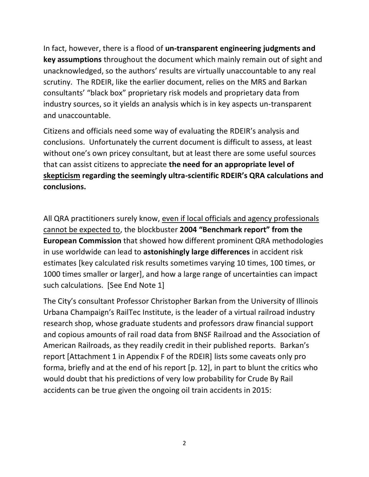In fact, however, there is a flood of **un-transparent engineering judgments and key assumptions** throughout the document which mainly remain out of sight and unacknowledged, so the authors' results are virtually unaccountable to any real scrutiny. The RDEIR, like the earlier document, relies on the MRS and Barkan consultants' "black box" proprietary risk models and proprietary data from industry sources, so it yields an analysis which is in key aspects un-transparent and unaccountable.

Citizens and officials need some way of evaluating the RDEIR's analysis and conclusions. Unfortunately the current document is difficult to assess, at least without one's own pricey consultant, but at least there are some useful sources that can assist citizens to appreciate **the need for an appropriate level of skepticism regarding the seemingly ultra-scientific RDEIR's QRA calculations and conclusions.**

All QRA practitioners surely know, even if local officials and agency professionals cannot be expected to, the blockbuster **2004 "Benchmark report" from the European Commission** that showed how different prominent QRA methodologies in use worldwide can lead to **astonishingly large differences** in accident risk estimates [key calculated risk results sometimes varying 10 times, 100 times, or 1000 times smaller or larger], and how a large range of uncertainties can impact such calculations. [See End Note 1]

The City's consultant Professor Christopher Barkan from the University of Illinois Urbana Champaign's RailTec Institute, is the leader of a virtual railroad industry research shop, whose graduate students and professors draw financial support and copious amounts of rail road data from BNSF Railroad and the Association of American Railroads, as they readily credit in their published reports. Barkan's report [Attachment 1 in Appendix F of the RDEIR] lists some caveats only pro forma, briefly and at the end of his report [p. 12], in part to blunt the critics who would doubt that his predictions of very low probability for Crude By Rail accidents can be true given the ongoing oil train accidents in 2015: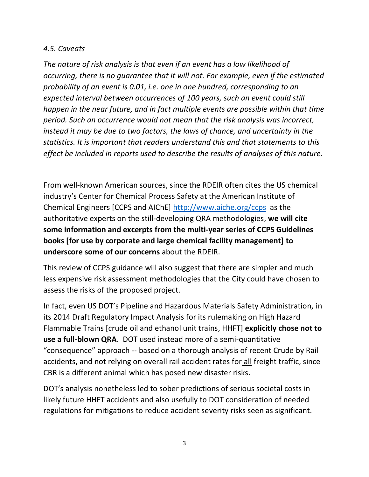### *4.5. Caveats*

*The nature of risk analysis is that even if an event has a low likelihood of occurring, there is no guarantee that it will not. For example, even if the estimated probability of an event is 0.01, i.e. one in one hundred, corresponding to an expected interval between occurrences of 100 years, such an event could still happen in the near future, and in fact multiple events are possible within that time period. Such an occurrence would not mean that the risk analysis was incorrect, instead it may be due to two factors, the laws of chance, and uncertainty in the statistics. It is important that readers understand this and that statements to this effect be included in reports used to describe the results of analyses of this nature.*

From well-known American sources, since the RDEIR often cites the US chemical industry's Center for Chemical Process Safety at the American Institute of Chemical Engineers [CCPS and AIChE]<http://www.aiche.org/ccps>as the authoritative experts on the still-developing QRA methodologies, **we will cite some information and excerpts from the multi-year series of CCPS Guidelines books [for use by corporate and large chemical facility management] to underscore some of our concerns** about the RDEIR.

This review of CCPS guidance will also suggest that there are simpler and much less expensive risk assessment methodologies that the City could have chosen to assess the risks of the proposed project.

In fact, even US DOT's Pipeline and Hazardous Materials Safety Administration, in its 2014 Draft Regulatory Impact Analysis for its rulemaking on High Hazard Flammable Trains [crude oil and ethanol unit trains, HHFT] **explicitly chose not to use a full-blown QRA**. DOT used instead more of a semi-quantitative "consequence" approach -- based on a thorough analysis of recent Crude by Rail accidents, and not relying on overall rail accident rates for all freight traffic, since CBR is a different animal which has posed new disaster risks.

DOT's analysis nonetheless led to sober predictions of serious societal costs in likely future HHFT accidents and also usefully to DOT consideration of needed regulations for mitigations to reduce accident severity risks seen as significant.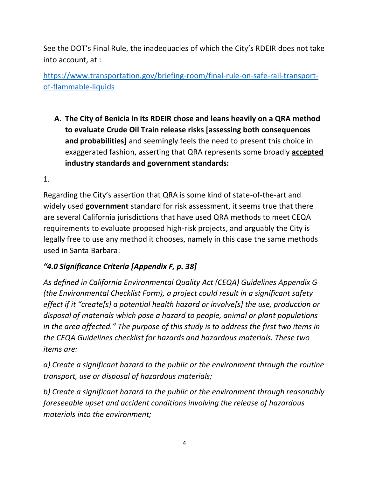See the DOT's Final Rule, the inadequacies of which the City's RDEIR does not take into account, at :

[https://www.transportation.gov/briefing-room/final-rule-on-safe-rail-transport](https://www.transportation.gov/briefing-room/final-rule-on-safe-rail-transport-of-flammable-liquids)[of-flammable-liquids](https://www.transportation.gov/briefing-room/final-rule-on-safe-rail-transport-of-flammable-liquids)

**A. The City of Benicia in its RDEIR chose and leans heavily on a QRA method to evaluate Crude Oil Train release risks [assessing both consequences and probabilities]** and seemingly feels the need to present this choice in exaggerated fashion, asserting that QRA represents some broadly **accepted industry standards and government standards:** 

1.

Regarding the City's assertion that QRA is some kind of state-of-the-art and widely used **government** standard for risk assessment, it seems true that there are several California jurisdictions that have used QRA methods to meet CEQA requirements to evaluate proposed high-risk projects, and arguably the City is legally free to use any method it chooses, namely in this case the same methods used in Santa Barbara:

## *"4.0 Significance Criteria [Appendix F, p. 38]*

*As defined in California Environmental Quality Act (CEQA) Guidelines Appendix G (the Environmental Checklist Form), a project could result in a significant safety effect if it "create[s] a potential health hazard or involve[s] the use, production or disposal of materials which pose a hazard to people, animal or plant populations in the area affected." The purpose of this study is to address the first two items in the CEQA Guidelines checklist for hazards and hazardous materials. These two items are:* 

*a) Create a significant hazard to the public or the environment through the routine transport, use or disposal of hazardous materials;* 

*b) Create a significant hazard to the public or the environment through reasonably foreseeable upset and accident conditions involving the release of hazardous materials into the environment;*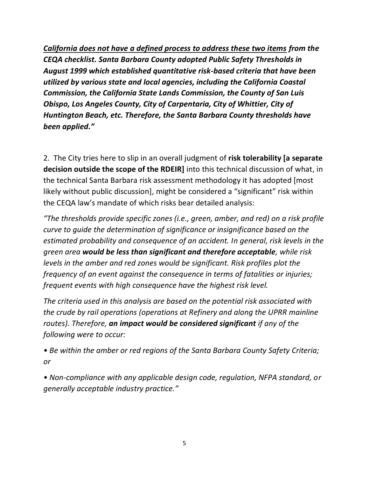*California does not have a defined process to address these two items from the CEQA checklist. Santa Barbara County adopted Public Safety Thresholds in August 1999 which established quantitative risk-based criteria that have been utilized by various state and local agencies, including the California Coastal Commission, the California State Lands Commission, the County of San Luis Obispo, Los Angeles County, City of Carpentaria, City of Whittier, City of Huntington Beach, etc. Therefore, the Santa Barbara County thresholds have been applied."*

2. The City tries here to slip in an overall judgment of **risk tolerability [a separate decision outside the scope of the RDEIR]** into this technical discussion of what, in the technical Santa Barbara risk assessment methodology it has adopted [most likely without public discussion], might be considered a "significant" risk within the CEQA law's mandate of which risks bear detailed analysis:

*"The thresholds provide specific zones (i.e., green, amber, and red) on a risk profile curve to guide the determination of significance or insignificance based on the estimated probability and consequence of an accident. In general, risk levels in the green area would be less than significant and therefore acceptable, while risk levels in the amber and red zones would be significant. Risk profiles plot the frequency of an event against the consequence in terms of fatalities or injuries; frequent events with high consequence have the highest risk level.* 

*The criteria used in this analysis are based on the potential risk associated with the crude by rail operations (operations at Refinery and along the UPRR mainline routes). Therefore, an impact would be considered significant if any of the following were to occur:* 

*• Be within the amber or red regions of the Santa Barbara County Safety Criteria; or* 

*• Non-compliance with any applicable design code, regulation, NFPA standard, or generally acceptable industry practice."*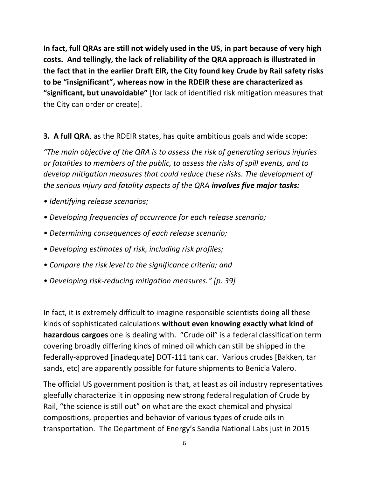**In fact, full QRAs are still not widely used in the US, in part because of very high costs. And tellingly, the lack of reliability of the QRA approach is illustrated in the fact that in the earlier Draft EIR, the City found key Crude by Rail safety risks to be "insignificant", whereas now in the RDEIR these are characterized as "significant, but unavoidable"** [for lack of identified risk mitigation measures that the City can order or create].

**3. A full QRA**, as the RDEIR states, has quite ambitious goals and wide scope:

*"The main objective of the QRA is to assess the risk of generating serious injuries or fatalities to members of the public, to assess the risks of spill events, and to develop mitigation measures that could reduce these risks. The development of the serious injury and fatality aspects of the QRA involves five major tasks:* 

- *Identifying release scenarios;*
- *Developing frequencies of occurrence for each release scenario;*
- *Determining consequences of each release scenario;*
- *Developing estimates of risk, including risk profiles;*
- *Compare the risk level to the significance criteria; and*
- *Developing risk-reducing mitigation measures." [p. 39]*

In fact, it is extremely difficult to imagine responsible scientists doing all these kinds of sophisticated calculations **without even knowing exactly what kind of hazardous cargoes** one is dealing with. "Crude oil" is a federal classification term covering broadly differing kinds of mined oil which can still be shipped in the federally-approved [inadequate] DOT-111 tank car. Various crudes [Bakken, tar sands, etc] are apparently possible for future shipments to Benicia Valero.

The official US government position is that, at least as oil industry representatives gleefully characterize it in opposing new strong federal regulation of Crude by Rail, "the science is still out" on what are the exact chemical and physical compositions, properties and behavior of various types of crude oils in transportation. The Department of Energy's Sandia National Labs just in 2015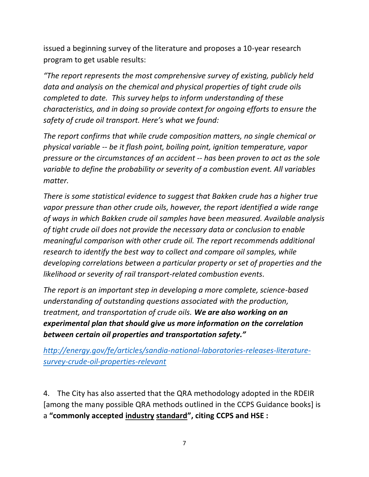issued a beginning survey of the literature and proposes a 10-year research program to get usable results:

*"The report represents the most comprehensive survey of existing, publicly held data and analysis on the chemical and physical properties of tight crude oils completed to date. This survey helps to inform understanding of these characteristics, and in doing so provide context for ongoing efforts to ensure the safety of crude oil transport. Here's what we found:*

*The report confirms that while crude composition matters, no single chemical or physical variable -- be it flash point, boiling point, ignition temperature, vapor pressure or the circumstances of an accident -- has been proven to act as the sole variable to define the probability or severity of a combustion event. All variables matter.*

*There is some statistical evidence to suggest that Bakken crude has a higher true vapor pressure than other crude oils, however, the report identified a wide range of ways in which Bakken crude oil samples have been measured. Available analysis of tight crude oil does not provide the necessary data or conclusion to enable meaningful comparison with other crude oil. The report recommends additional research to identify the best way to collect and compare oil samples, while developing correlations between a particular property or set of properties and the likelihood or severity of rail transport-related combustion events.*

*The report is an important step in developing a more complete, science-based understanding of outstanding questions associated with the production, treatment, and transportation of crude oils. We are also working on an experimental plan that should give us more information on the correlation between certain oil properties and transportation safety."*

*[http://energy.gov/fe/articles/sandia-national-laboratories-releases-literature](http://energy.gov/fe/articles/sandia-national-laboratories-releases-literature-survey-crude-oil-properties-relevant)[survey-crude-oil-properties-relevant](http://energy.gov/fe/articles/sandia-national-laboratories-releases-literature-survey-crude-oil-properties-relevant)*

4. The City has also asserted that the QRA methodology adopted in the RDEIR [among the many possible QRA methods outlined in the CCPS Guidance books] is a **"commonly accepted industry standard", citing CCPS and HSE :**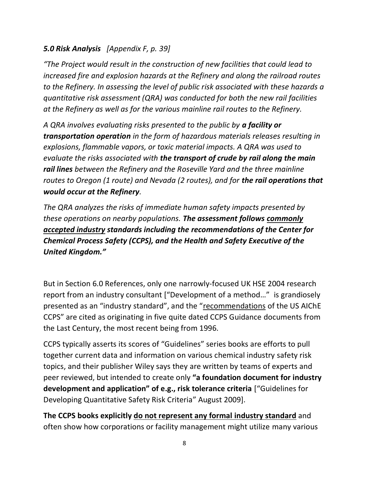## *5.0 Risk Analysis [Appendix F, p. 39]*

*"The Project would result in the construction of new facilities that could lead to increased fire and explosion hazards at the Refinery and along the railroad routes to the Refinery. In assessing the level of public risk associated with these hazards a quantitative risk assessment (QRA) was conducted for both the new rail facilities at the Refinery as well as for the various mainline rail routes to the Refinery.* 

*A QRA involves evaluating risks presented to the public by a facility or transportation operation in the form of hazardous materials releases resulting in explosions, flammable vapors, or toxic material impacts. A QRA was used to evaluate the risks associated with the transport of crude by rail along the main rail lines between the Refinery and the Roseville Yard and the three mainline routes to Oregon (1 route) and Nevada (2 routes), and for the rail operations that would occur at the Refinery.* 

*The QRA analyzes the risks of immediate human safety impacts presented by these operations on nearby populations. The assessment follows commonly accepted industry standards including the recommendations of the Center for Chemical Process Safety (CCPS), and the Health and Safety Executive of the United Kingdom."*

But in Section 6.0 References, only one narrowly-focused UK HSE 2004 research report from an industry consultant ["Development of a method…" is grandiosely presented as an "industry standard", and the "recommendations of the US AIChE CCPS" are cited as originating in five quite dated CCPS Guidance documents from the Last Century, the most recent being from 1996.

CCPS typically asserts its scores of "Guidelines" series books are efforts to pull together current data and information on various chemical industry safety risk topics, and their publisher Wiley says they are written by teams of experts and peer reviewed, but intended to create only **"a foundation document for industry development and application" of e.g., risk tolerance criteria** ["Guidelines for Developing Quantitative Safety Risk Criteria" August 2009].

**The CCPS books explicitly do not represent any formal industry standard** and often show how corporations or facility management might utilize many various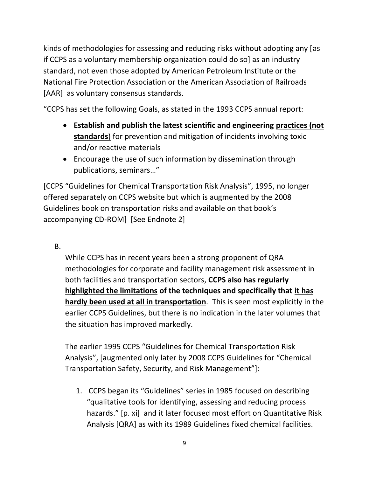kinds of methodologies for assessing and reducing risks without adopting any [as if CCPS as a voluntary membership organization could do so] as an industry standard, not even those adopted by American Petroleum Institute or the National Fire Protection Association or the American Association of Railroads [AAR] as voluntary consensus standards.

"CCPS has set the following Goals, as stated in the 1993 CCPS annual report:

- **Establish and publish the latest scientific and engineering practices (not standards**) for prevention and mitigation of incidents involving toxic and/or reactive materials
- Encourage the use of such information by dissemination through publications, seminars…"

[CCPS "Guidelines for Chemical Transportation Risk Analysis", 1995, no longer offered separately on CCPS website but which is augmented by the 2008 Guidelines book on transportation risks and available on that book's accompanying CD-ROM] [See Endnote 2]

## B.

While CCPS has in recent years been a strong proponent of QRA methodologies for corporate and facility management risk assessment in both facilities and transportation sectors, **CCPS also has regularly highlighted the limitations of the techniques and specifically that it has hardly been used at all in transportation**. This is seen most explicitly in the earlier CCPS Guidelines, but there is no indication in the later volumes that the situation has improved markedly.

The earlier 1995 CCPS "Guidelines for Chemical Transportation Risk Analysis", [augmented only later by 2008 CCPS Guidelines for "Chemical Transportation Safety, Security, and Risk Management"]:

1. CCPS began its "Guidelines" series in 1985 focused on describing "qualitative tools for identifying, assessing and reducing process hazards." [p. xi] and it later focused most effort on Quantitative Risk Analysis [QRA] as with its 1989 Guidelines fixed chemical facilities.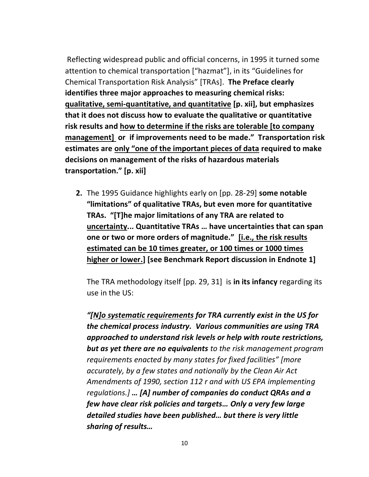Reflecting widespread public and official concerns, in 1995 it turned some attention to chemical transportation ["hazmat"], in its "Guidelines for Chemical Transportation Risk Analysis" [TRAs]. **The Preface clearly identifies three major approaches to measuring chemical risks: qualitative, semi-quantitative, and quantitative [p. xii], but emphasizes that it does not discuss how to evaluate the qualitative or quantitative risk results and how to determine if the risks are tolerable [to company management] or if improvements need to be made." Transportation risk estimates are only "one of the important pieces of data required to make decisions on management of the risks of hazardous materials transportation." [p. xii]**

**2.** The 1995 Guidance highlights early on [pp. 28-29] **some notable "limitations" of qualitative TRAs, but even more for quantitative TRAs. "[T]he major limitations of any TRA are related to uncertainty... Quantitative TRAs … have uncertainties that can span one or two or more orders of magnitude." [i.e., the risk results estimated can be 10 times greater, or 100 times or 1000 times higher or lower.] [see Benchmark Report discussion in Endnote 1]**

The TRA methodology itself [pp. 29, 31] is **in its infancy** regarding its use in the US:

*"[N]o systematic requirements for TRA currently exist in the US for the chemical process industry. Various communities are using TRA approached to understand risk levels or help with route restrictions, but as yet there are no equivalents to the risk management program requirements enacted by many states for fixed facilities" [more accurately, by a few states and nationally by the Clean Air Act Amendments of 1990, section 112 r and with US EPA implementing regulations.] … [A] number of companies do conduct QRAs and a few have clear risk policies and targets… Only a very few large detailed studies have been published… but there is very little sharing of results…*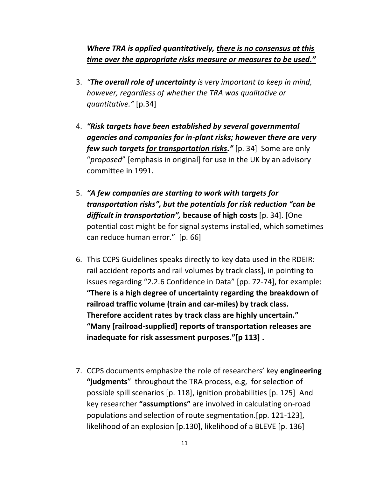*Where TRA is applied quantitatively, there is no consensus at this time over the appropriate risks measure or measures to be used."*

- 3. *"The overall role of uncertainty is very important to keep in mind, however, regardless of whether the TRA was qualitative or quantitative."* [p.34]
- 4. *"Risk targets have been established by several governmental agencies and companies for in-plant risks; however there are very few such targets for transportation risks."* [p. 34] Some are only "*proposed*" [emphasis in original] for use in the UK by an advisory committee in 1991.
- 5. *"A few companies are starting to work with targets for transportation risks", but the potentials for risk reduction "can be difficult in transportation",* **because of high costs** [p. 34]. [One potential cost might be for signal systems installed, which sometimes can reduce human error." [p. 66]
- 6. This CCPS Guidelines speaks directly to key data used in the RDEIR: rail accident reports and rail volumes by track class], in pointing to issues regarding "2.2.6 Confidence in Data" [pp. 72-74], for example: **"There is a high degree of uncertainty regarding the breakdown of railroad traffic volume (train and car-miles) by track class. Therefore accident rates by track class are highly uncertain." "Many [railroad-supplied] reports of transportation releases are inadequate for risk assessment purposes."[p 113] .**
- 7. CCPS documents emphasize the role of researchers' key **engineering "judgments**" throughout the TRA process, e.g, for selection of possible spill scenarios [p. 118], ignition probabilities [p. 125] And key researcher **"assumptions"** are involved in calculating on-road populations and selection of route segmentation.[pp. 121-123], likelihood of an explosion [p.130], likelihood of a BLEVE [p. 136]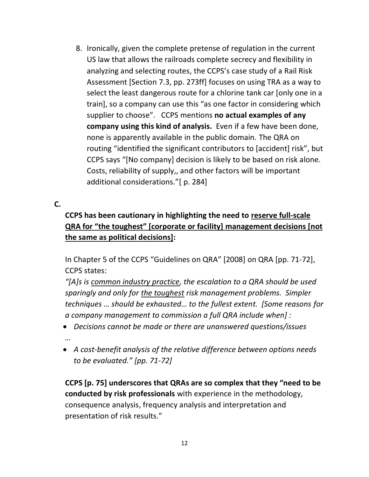8. Ironically, given the complete pretense of regulation in the current US law that allows the railroads complete secrecy and flexibility in analyzing and selecting routes, the CCPS's case study of a Rail Risk Assessment [Section 7.3, pp. 273ff] focuses on using TRA as a way to select the least dangerous route for a chlorine tank car [only one in a train], so a company can use this "as one factor in considering which supplier to choose". CCPS mentions **no actual examples of any company using this kind of analysis.** Even if a few have been done, none is apparently available in the public domain. The QRA on routing "identified the significant contributors to [accident] risk", but CCPS says "[No company] decision is likely to be based on risk alone. Costs, reliability of supply,, and other factors will be important additional considerations."[ p. 284]

#### **C.**

## **CCPS has been cautionary in highlighting the need to reserve full-scale QRA for "the toughest" [corporate or facility] management decisions [not the same as political decisions]:**

In Chapter 5 of the CCPS "Guidelines on QRA" [2008] on QRA [pp. 71-72], CCPS states:

*"[A]s is common industry practice, the escalation to a QRA should be used sparingly and only for the toughest risk management problems. Simpler techniques … should be exhausted… to the fullest extent. [Some reasons for a company management to commission a full QRA include when] :*

- *Decisions cannot be made or there are unanswered questions/issues …*
- *A cost-benefit analysis of the relative difference between options needs to be evaluated." [pp. 71-72]*

**CCPS [p. 75] underscores that QRAs are so complex that they "need to be conducted by risk professionals** with experience in the methodology, consequence analysis, frequency analysis and interpretation and presentation of risk results."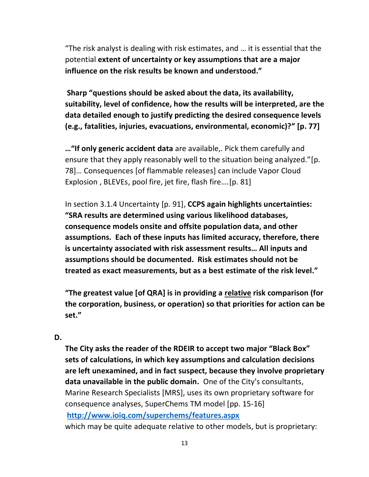"The risk analyst is dealing with risk estimates, and … it is essential that the potential **extent of uncertainty or key assumptions that are a major influence on the risk results be known and understood."** 

**Sharp "questions should be asked about the data, its availability, suitability, level of confidence, how the results will be interpreted, are the data detailed enough to justify predicting the desired consequence levels (e.g., fatalities, injuries, evacuations, environmental, economic)?" [p. 77]**

**…"If only generic accident data** are available,. Pick them carefully and ensure that they apply reasonably well to the situation being analyzed."[p. 78]… Consequences [of flammable releases] can include Vapor Cloud Explosion , BLEVEs, pool fire, jet fire, flash fire….[p. 81]

In section 3.1.4 Uncertainty [p. 91], **CCPS again highlights uncertainties: "SRA results are determined using various likelihood databases, consequence models onsite and offsite population data, and other assumptions. Each of these inputs has limited accuracy, therefore, there is uncertainty associated with risk assessment results… All inputs and assumptions should be documented. Risk estimates should not be treated as exact measurements, but as a best estimate of the risk level."**

**"The greatest value [of QRA] is in providing a relative risk comparison (for the corporation, business, or operation) so that priorities for action can be set."**

#### **D.**

**The City asks the reader of the RDEIR to accept two major "Black Box" sets of calculations, in which key assumptions and calculation decisions are left unexamined, and in fact suspect, because they involve proprietary data unavailable in the public domain.** One of the City's consultants, Marine Research Specialists [MRS], uses its own proprietary software for consequence analyses, SuperChems TM model [pp. 15-16] **<http://www.ioiq.com/superchems/features.aspx>** which may be quite adequate relative to other models, but is proprietary: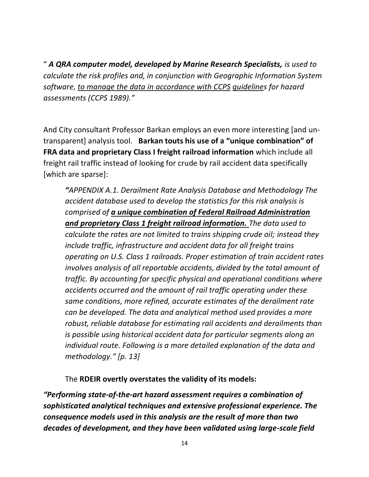" *A QRA computer model, developed by Marine Research Specialists, is used to calculate the risk profiles and, in conjunction with Geographic Information System software, to manage the data in accordance with CCPS guidelines for hazard assessments (CCPS 1989)."*

And City consultant Professor Barkan employs an even more interesting [and untransparent] analysis tool. **Barkan touts his use of a "unique combination" of FRA data and proprietary Class I freight railroad information** which include all freight rail traffic instead of looking for crude by rail accident data specifically [which are sparse]:

*"APPENDIX A.1. Derailment Rate Analysis Database and Methodology The accident database used to develop the statistics for this risk analysis is comprised of a unique combination of Federal Railroad Administration and proprietary Class 1 freight railroad information. The data used to calculate the rates are not limited to trains shipping crude oil; instead they include traffic, infrastructure and accident data for all freight trains operating on U.S. Class 1 railroads. Proper estimation of train accident rates involves analysis of all reportable accidents, divided by the total amount of traffic. By accounting for specific physical and operational conditions where accidents occurred and the amount of rail traffic operating under these same conditions, more refined, accurate estimates of the derailment rate can be developed. The data and analytical method used provides a more robust, reliable database for estimating rail accidents and derailments than is possible using historical accident data for particular segments along an individual route. Following is a more detailed explanation of the data and methodology." [p. 13]*

The **RDEIR overtly overstates the validity of its models:**

*"Performing state-of-the-art hazard assessment requires a combination of sophisticated analytical techniques and extensive professional experience. The consequence models used in this analysis are the result of more than two decades of development, and they have been validated using large-scale field*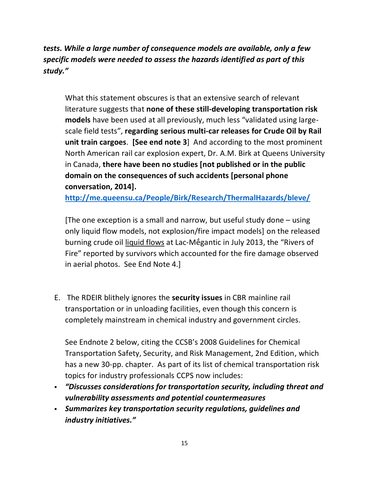*tests. While a large number of consequence models are available, only a few specific models were needed to assess the hazards identified as part of this study."*

What this statement obscures is that an extensive search of relevant literature suggests that **none of these still-developing transportation risk models** have been used at all previously, much less "validated using largescale field tests", **regarding serious multi-car releases for Crude Oil by Rail unit train cargoes**. **[See end note 3**] And according to the most prominent North American rail car explosion expert, Dr. A.M. Birk at Queens University in Canada, **there have been no studies [not published or in the public domain on the consequences of such accidents [personal phone conversation, 2014].**

**<http://me.queensu.ca/People/Birk/Research/ThermalHazards/bleve/>**

[The one exception is a small and narrow, but useful study done – using only liquid flow models, not explosion/fire impact models] on the released burning crude oil liquid flows at Lac-Mḗgantic in July 2013, the "Rivers of Fire" reported by survivors which accounted for the fire damage observed in aerial photos. See End Note 4.]

E. The RDEIR blithely ignores the **security issues** in CBR mainline rail transportation or in unloading facilities, even though this concern is completely mainstream in chemical industry and government circles.

See Endnote 2 below, citing the CCSB's 2008 Guidelines for Chemical Transportation Safety, Security, and Risk Management, 2nd Edition, which has a new 30-pp. chapter. As part of its list of chemical transportation risk topics for industry professionals CCPS now includes:

- *"Discusses considerations for transportation security, including threat and vulnerability assessments and potential countermeasures*
- *Summarizes key transportation security regulations, guidelines and industry initiatives."*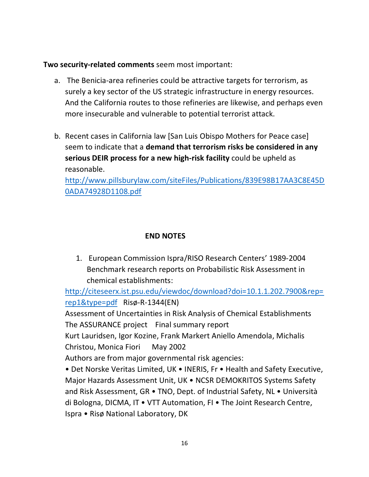**Two security-related comments** seem most important:

- a. The Benicia-area refineries could be attractive targets for terrorism, as surely a key sector of the US strategic infrastructure in energy resources. And the California routes to those refineries are likewise, and perhaps even more insecurable and vulnerable to potential terrorist attack.
- b. Recent cases in California law [San Luis Obispo Mothers for Peace case] seem to indicate that a **demand that terrorism risks be considered in any serious DEIR process for a new high-risk facility** could be upheld as reasonable.

[http://www.pillsburylaw.com/siteFiles/Publications/839E98B17AA3C8E45D](http://www.pillsburylaw.com/siteFiles/Publications/839E98B17AA3C8E45D0ADA74928D1108.pdf) [0ADA74928D1108.pdf](http://www.pillsburylaw.com/siteFiles/Publications/839E98B17AA3C8E45D0ADA74928D1108.pdf)

# **END NOTES**

1. European Commission Ispra/RISO Research Centers' 1989-2004 Benchmark research reports on Probabilistic Risk Assessment in chemical establishments:

[http://citeseerx.ist.psu.edu/viewdoc/download?doi=10.1.1.202.7900&rep=](http://citeseerx.ist.psu.edu/viewdoc/download?doi=10.1.1.202.7900&rep=rep1&type=pdf) [rep1&type=pdf](http://citeseerx.ist.psu.edu/viewdoc/download?doi=10.1.1.202.7900&rep=rep1&type=pdf) Risø-R-1344(EN)

Assessment of Uncertainties in Risk Analysis of Chemical Establishments The ASSURANCE project Final summary report

Kurt Lauridsen, Igor Kozine, Frank Markert Aniello Amendola, Michalis Christou, Monica Fiori May 2002

Authors are from major governmental risk agencies:

• Det Norske Veritas Limited, UK • INERIS, Fr • Health and Safety Executive, Major Hazards Assessment Unit, UK • NCSR DEMOKRITOS Systems Safety and Risk Assessment, GR • TNO, Dept. of Industrial Safety, NL • Università di Bologna, DICMA, IT • VTT Automation, FI • The Joint Research Centre, Ispra • Risø National Laboratory, DK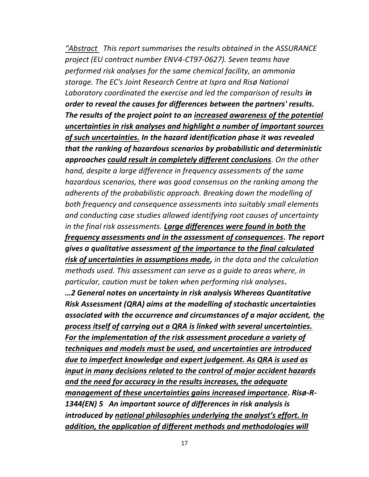*"Abstract This report summarises the results obtained in the ASSURANCE project (EU contract number ENV4-CT97-0627). Seven teams have performed risk analyses for the same chemical facility, an ammonia storage. The EC's Joint Research Centre at Ispra and Risø National Laboratory coordinated the exercise and led the comparison of results in order to reveal the causes for differences between the partners' results. The results of the project point to an increased awareness of the potential uncertainties in risk analyses and highlight a number of important sources of such uncertainties. In the hazard identification phase it was revealed that the ranking of hazardous scenarios by probabilistic and deterministic approaches could result in completely different conclusions. On the other hand, despite a large difference in frequency assessments of the same hazardous scenarios, there was good consensus on the ranking among the adherents of the probabilistic approach. Breaking down the modelling of both frequency and consequence assessments into suitably small elements and conducting case studies allowed identifying root causes of uncertainty in the final risk assessments. Large differences were found in both the frequency assessments and in the assessment of consequences. The report gives a qualitative assessment of the importance to the final calculated risk of uncertainties in assumptions made, in the data and the calculation methods used. This assessment can serve as a guide to areas where, in particular, caution must be taken when performing risk analyses. …2 General notes on uncertainty in risk analysis Whereas Quantitative Risk Assessment (QRA) aims at the modelling of stochastic uncertainties associated with the occurrence and circumstances of a major accident, the process itself of carrying out a QRA is linked with several uncertainties. For the implementation of the risk assessment procedure a variety of techniques and models must be used, and uncertainties are introduced due to imperfect knowledge and expert judgement. As QRA is used as input in many decisions related to the control of major accident hazards and the need for accuracy in the results increases, the adequate management of these uncertainties gains increased importance. Risø-R-1344(EN) 5 An important source of differences in risk analysis is introduced by national philosophies underlying the analyst's effort. In addition, the application of different methods and methodologies will*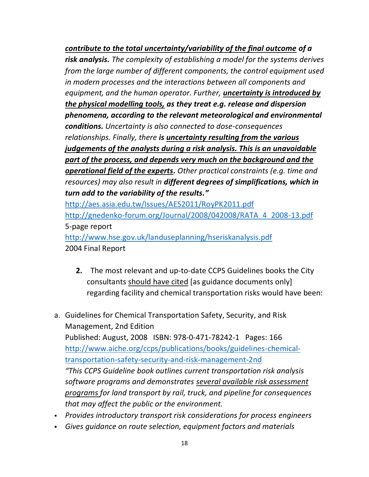*contribute to the total uncertainty/variability of the final outcome of a risk analysis. The complexity of establishing a model for the systems derives from the large number of different components, the control equipment used in modern processes and the interactions between all components and equipment, and the human operator. Further, uncertainty is introduced by the physical modelling tools, as they treat e.g. release and dispersion phenomena, according to the relevant meteorological and environmental conditions. Uncertainty is also connected to dose-consequences relationships. Finally, there is uncertainty resulting from the various judgements of the analysts during a risk analysis. This is an unavoidable part of the process, and depends very much on the background and the operational field of the experts. Other practical constraints (e.g. time and resources) may also result in different degrees of simplifications, which in turn add to the variability of the results."*

<http://aes.asia.edu.tw/Issues/AES2011/RoyPK2011.pdf> [http://gnedenko-forum.org/Journal/2008/042008/RATA\\_4\\_2008-13.pdf](http://gnedenko-forum.org/Journal/2008/042008/RATA_4_2008-13.pdf)  5-page report <http://www.hse.gov.uk/landuseplanning/hseriskanalysis.pdf> 2004 Final Report

- **2.** The most relevant and up-to-date CCPS Guidelines books the City consultants should have cited [as guidance documents only] regarding facility and chemical transportation risks would have been:
- a. Guidelines for Chemical Transportation Safety, Security, and Risk Management, 2nd Edition Published: August, 2008 ISBN: 978-0-471-78242-1 Pages: 166 [http://www.aiche.org/ccps/publications/books/guidelines-chemical](http://www.aiche.org/ccps/publications/books/guidelines-chemical-transportation-safety-security-and-risk-management-2nd)[transportation-safety-security-and-risk-management-2nd](http://www.aiche.org/ccps/publications/books/guidelines-chemical-transportation-safety-security-and-risk-management-2nd) *"This CCPS Guideline book outlines current transportation risk analysis software programs and demonstrates several available risk assessment programs for land transport by rail, truck, and pipeline for consequences that may affect the public or the environment.*
- *Provides introductory transport risk considerations for process engineers*
- *Gives guidance on route selection, equipment factors and materials*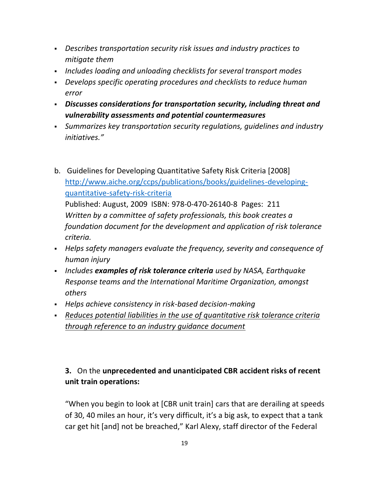- *Describes transportation security risk issues and industry practices to mitigate them*
- *Includes loading and unloading checklists for several transport modes*
- *Develops specific operating procedures and checklists to reduce human error*
- *Discusses considerations for transportation security, including threat and vulnerability assessments and potential countermeasures*
- *Summarizes key transportation security regulations, guidelines and industry initiatives."*
- b. Guidelines for Developing Quantitative Safety Risk Criteria [2008] [http://www.aiche.org/ccps/publications/books/guidelines-developing](http://www.aiche.org/ccps/publications/books/guidelines-developing-quantitative-safety-risk-criteria)[quantitative-safety-risk-criteria](http://www.aiche.org/ccps/publications/books/guidelines-developing-quantitative-safety-risk-criteria) Published: August, 2009 ISBN: 978-0-470-26140-8 Pages: 211 *Written by a committee of safety professionals, this book creates a foundation document for the development and application of risk tolerance criteria.*
- *Helps safety managers evaluate the frequency, severity and consequence of human injury*
- *Includes examples of risk tolerance criteria used by NASA, Earthquake Response teams and the International Maritime Organization, amongst others*
- *Helps achieve consistency in risk-based decision-making*
- *Reduces potential liabilities in the use of quantitative risk tolerance criteria through reference to an industry guidance document*

# **3.** On the **unprecedented and unanticipated CBR accident risks of recent unit train operations:**

"When you begin to look at [CBR unit train] cars that are derailing at speeds of 30, 40 miles an hour, it's very difficult, it's a big ask, to expect that a tank car get hit [and] not be breached," Karl Alexy, staff director of the Federal